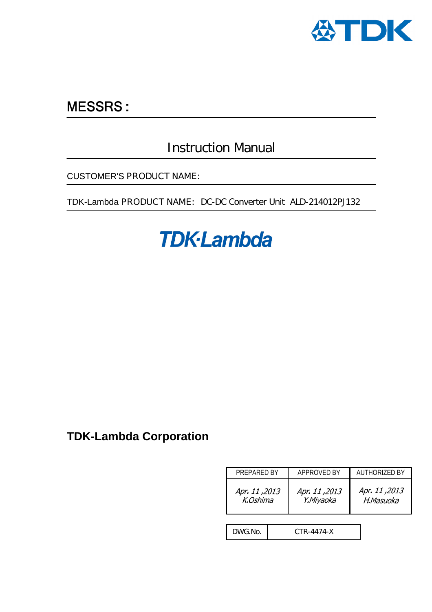

# **MESSRS:**

# Instruction Manual

CUSTOMER'S PRODUCT NAME:

TDK-Lambda PRODUCT NAME: DC-DC Converter Unit ALD-214012PJ132

# **TDK-Lambda**

## **TDK-Lambda Corporation**

| PREPARED BY               |            | APPROVED BY                | AUTHORIZED BY              |  |
|---------------------------|------------|----------------------------|----------------------------|--|
| 2013, Apr. 11<br>K.Oshima |            | Apr. 11, 2013<br>Y.Miyaoka | 2013, Apr. 11<br>H.Masuoka |  |
|                           |            |                            |                            |  |
| DWG.No.                   | CTR-4474-X |                            |                            |  |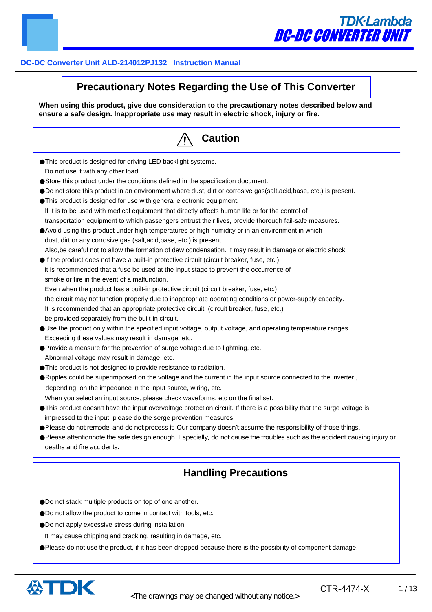

# **TDK-Lambda** DC-DC CONVERTER UNIT

## **DC-DC Converter Unit ALD-214012PJ132 Instruction Manual**

## **Precautionary Notes Regarding the Use of This Converter**

**When using this product, give due consideration to the precautionary notes described below and ensure a safe design. Inappropriate use may result in electric shock, injury or fire.**

| <b>Caution</b>                                                                                                            |
|---------------------------------------------------------------------------------------------------------------------------|
| This product is designed for driving LED backlight systems.                                                               |
| Do not use it with any other load.                                                                                        |
| Store this product under the conditions defined in the specification document.                                            |
| Do not store this product in an environment where dust, dirt or corrosive gas(salt,acid,base, etc.) is present.           |
| This product is designed for use with general electronic equipment.                                                       |
| If it is to be used with medical equipment that directly affects human life or for the control of                         |
| transportation equipment to which passengers entrust their lives, provide thorough fail-safe measures.                    |
| Avoid using this product under high temperatures or high humidity or in an environment in which                           |
| dust, dirt or any corrosive gas (salt, acid, base, etc.) is present.                                                      |
| Also, be careful not to allow the formation of dew condensation. It may result in damage or electric shock.               |
| If the product does not have a built-in protective circuit (circuit breaker, fuse, etc.),                                 |
| it is recommended that a fuse be used at the input stage to prevent the occurrence of                                     |
| smoke or fire in the event of a malfunction.                                                                              |
| Even when the product has a built-in protective circuit (circuit breaker, fuse, etc.),                                    |
| the circuit may not function properly due to inappropriate operating conditions or power-supply capacity.                 |
| It is recommended that an appropriate protective circuit (circuit breaker, fuse, etc.)                                    |
| be provided separately from the built-in circuit.                                                                         |
| Use the product only within the specified input voltage, output voltage, and operating temperature ranges.                |
| Exceeding these values may result in damage, etc.                                                                         |
| Provide a measure for the prevention of surge voltage due to lightning, etc.                                              |
| Abnormal voltage may result in damage, etc.                                                                               |
| This product is not designed to provide resistance to radiation.                                                          |
| Ripples could be superimposed on the voltage and the current in the input source connected to the inverter,               |
| depending on the impedance in the input source, wiring, etc.                                                              |
| When you select an input source, please check waveforms, etc on the final set.                                            |
| This product doesn't have the input overvoltage protection circuit. If there is a possibility that the surge voltage is   |
| impressed to the input, please do the serge prevention measures.                                                          |
| Please do not remodel and do not process it Our company doesn't assume the responsibility of those things.                |
| Please attentionnote the safe design enough. Especially, do not cause the troubles such as the accident causing injury or |
| deaths and fire accidents.                                                                                                |
| <b>Handling Precautions</b>                                                                                               |
|                                                                                                                           |
| Do not stack multiple products on top of one another.                                                                     |
| Do not allow the product to come in contact with tools, etc.                                                              |
| Do not apply excessive stress during installation.                                                                        |
| It may cause chipping and cracking, resulting in damage, etc.                                                             |
|                                                                                                                           |
| Please do not use the product, if it has been dropped because there is the possibility of component damage.               |



CTR-4474-X 1/13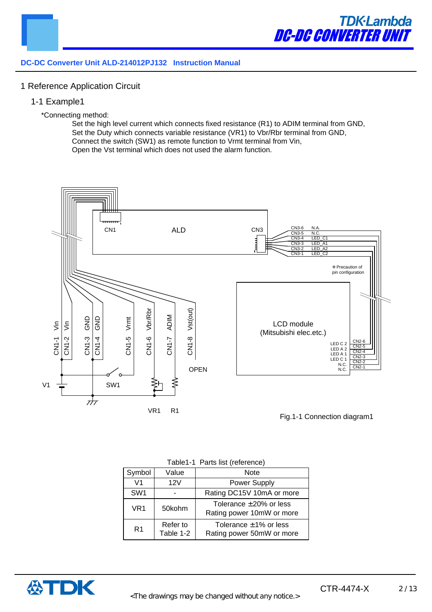

#### 1 Reference Application Circuit

- 1-1 Example1
	- \*Connecting method:

Set the high level current which connects fixed resistance (R1) to ADIM terminal from GND, Set the Duty which connects variable resistance (VR1) to Vbr/Rbr terminal from GND, Connect the switch (SW1) as remote function to Vrmt terminal from Vin, Open the Vst terminal which does not used the alarm function.



|  |  | Table1-1 Parts list (reference) |
|--|--|---------------------------------|
|--|--|---------------------------------|

| Symbol          | Value                 | Note                                                      |
|-----------------|-----------------------|-----------------------------------------------------------|
| V1              | 12V                   | Power Supply                                              |
| SW <sub>1</sub> |                       | Rating DC15V 10mA or more                                 |
| VR1             | 50kohm                | Tolerance $\pm 20\%$ or less<br>Rating power 10mW or more |
| R <sub>1</sub>  | Refer to<br>Table 1-2 | Tolerance $\pm$ 1% or less<br>Rating power 50mW or more   |

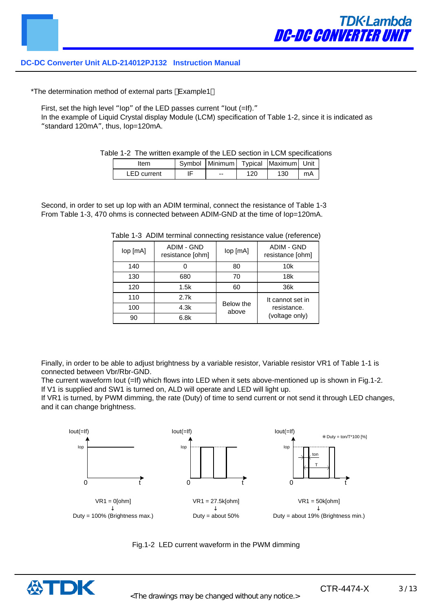\*The determination method of external parts Example1

First, set the high level "lop" of the LED passes current "lout (=If)."

In the example of Liquid Crystal display Module (LCM) specification of Table 1-2, since it is indicated as "standard 120mA", thus, Iop=120mA.

Table 1-2 The written example of the LED section in LCM specifications

| ltem               | Symbol   Minimum   Typical   Maximum   Unit |     |     |    |
|--------------------|---------------------------------------------|-----|-----|----|
| <b>LED</b> current | $- -$                                       | 120 | 130 | mA |

| Second, in order to set up lop with an ADIM terminal, connect the resistance of Table 1-3 |  |
|-------------------------------------------------------------------------------------------|--|
| From Table 1-3, 470 ohms is connected between ADIM-GND at the time of lop=120mA.          |  |

|  |  | Table 1-3 ADIM terminal connecting resistance value (reference) |  |  |
|--|--|-----------------------------------------------------------------|--|--|
|--|--|-----------------------------------------------------------------|--|--|

| lop [mA] | <b>ADIM - GND</b><br>resistance [ohm] | lop [mA]           | <b>ADIM - GND</b><br>resistance [ohm] |
|----------|---------------------------------------|--------------------|---------------------------------------|
| 140      |                                       | 80                 | 10k                                   |
| 130      | 680                                   | 70                 | 18k                                   |
| 120      | 1.5k                                  | 60                 | 36k                                   |
| 110      | 2.7k                                  |                    | It cannot set in                      |
| 100      | 4.3k                                  | Below the<br>above | resistance.                           |
| 90       | 6.8k                                  |                    | (voltage only)                        |

Finally, in order to be able to adjust brightness by a variable resistor, Variable resistor VR1 of Table 1-1 is connected between Vbr/Rbr-GND.

The current waveform lout (=If) which flows into LED when it sets above-mentioned up is shown in Fig.1-2. If V1 is supplied and SW1 is turned on, ALD will operate and LED will light up.

If VR1 is turned, by PWM dimming, the rate (Duty) of time to send current or not send it through LED changes, and it can change brightness.





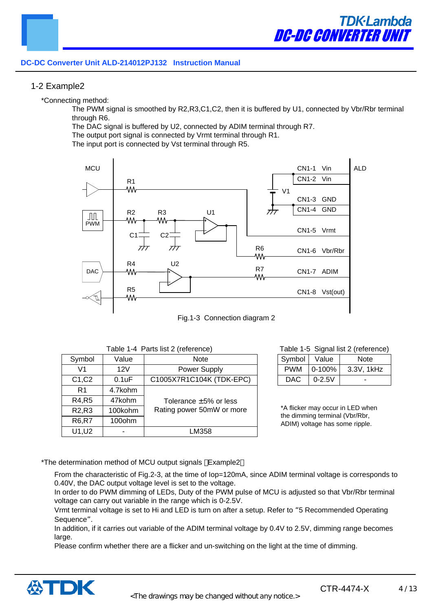#### 1-2 Example2

\*Connecting method:

The PWM signal is smoothed by R2,R3,C1,C2, then it is buffered by U1, connected by Vbr/Rbr terminal through R6.

The DAC signal is buffered by U2, connected by ADIM terminal through R7.

The output port signal is connected by Vrmt terminal through R1.

The input port is connected by Vst terminal through R5.





|  | Table 1-4 Parts list 2 (reference) |  |
|--|------------------------------------|--|
|--|------------------------------------|--|

| Symbol                         | Value   | <b>Note</b>                 |
|--------------------------------|---------|-----------------------------|
| V1                             | 12V     | Power Supply                |
| C1, C2                         | 0.1uF   | C1005X7R1C104K (TDK-EPC)    |
| R <sub>1</sub>                 | 4.7kohm |                             |
| R4, R5                         | 47kohm  | Tolerance $\pm 5\%$ or less |
| R <sub>2</sub> ,R <sub>3</sub> | 100kohm | Rating power 50mW or more   |
| <b>R6,R7</b>                   | 100ohm  |                             |
| U1, U2                         |         | LM358                       |

#### Table 1-5 Signal list 2 (reference)

| Symbol     | Value      | Note       |
|------------|------------|------------|
| <b>PWM</b> | $0-100%$   | 3.3V, 1kHz |
| DAC.       | $0 - 2.5V$ |            |

\*A flicker may occur in LED when the dimming terminal (Vbr/Rbr, ADIM) voltage has some ripple.

\*The determination method of MCU output signals Example2

From the characteristic of Fig.2-3, at the time of lop=120mA, since ADIM terminal voltage is corresponds to 0.40V, the DAC output voltage level is set to the voltage.

In order to do PWM dimming of LEDs, Duty of the PWM pulse of MCU is adjusted so that Vbr/Rbr terminal voltage can carry out variable in the range which is 0-2.5V.

Vrmt terminal voltage is set to Hi and LED is turn on after a setup. Refer to "5 Recommended Operating Sequence".

In addition, if it carries out variable of the ADIM terminal voltage by 0.4V to 2.5V, dimming range becomes large.

Please confirm whether there are a flicker and un-switching on the light at the time of dimming.

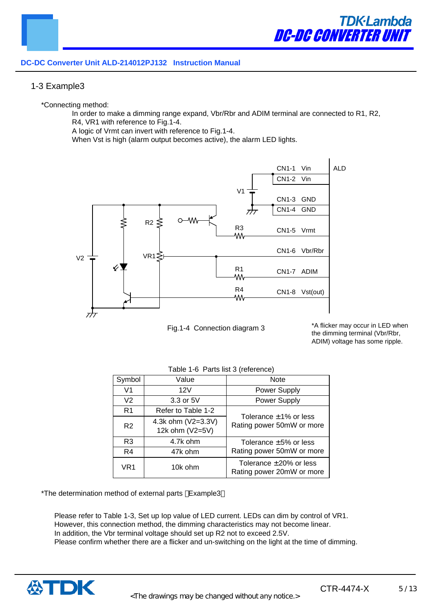#### 1-3 Example3

\*Connecting method:

In order to make a dimming range expand, Vbr/Rbr and ADIM terminal are connected to R1, R2, R4, VR1 with reference to Fig.1-4.

A logic of Vrmt can invert with reference to Fig.1-4.

When Vst is high (alarm output becomes active), the alarm LED lights.



Fig.1-4 Connection diagram 3

\*A flicker may occur in LED when the dimming terminal (Vbr/Rbr, ADIM) voltage has some ripple.

| Symbol         | Value                                 | <b>Note</b>                                               |
|----------------|---------------------------------------|-----------------------------------------------------------|
| V <sub>1</sub> | 12V                                   | Power Supply                                              |
| V2             | 3.3 or 5V                             | Power Supply                                              |
| R <sub>1</sub> | Refer to Table 1-2                    |                                                           |
| R <sub>2</sub> | 4.3k ohm (V2=3.3V)<br>12k ohm (V2=5V) | Tolerance $\pm$ 1% or less<br>Rating power 50mW or more   |
| R3             | 4.7k ohm                              | Tolerance $\pm 5\%$ or less                               |
| R4             | 47k ohm                               | Rating power 50mW or more                                 |
| VR1            | 10k ohm                               | Tolerance $\pm 20\%$ or less<br>Rating power 20mW or more |

#### Table 1-6 Parts list 3 (reference)

\*The determination method of external parts Example3

Please refer to Table 1-3, Set up Iop value of LED current. LEDs can dim by control of VR1. However, this connection method, the dimming characteristics may not become linear. In addition, the Vbr terminal voltage should set up R2 not to exceed 2.5V. Please confirm whether there are a flicker and un-switching on the light at the time of dimming.

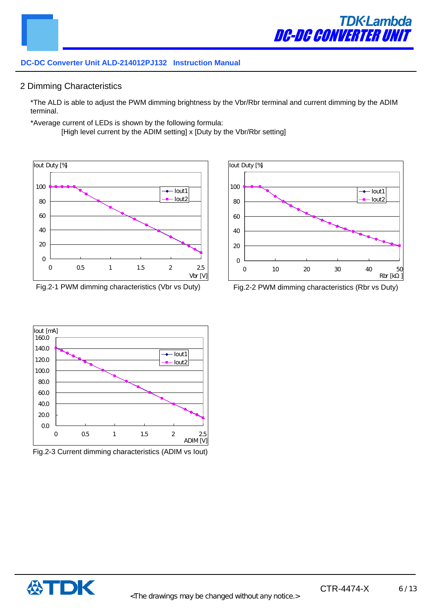#### 2 Dimming Characteristics

\*The ALD is able to adjust the PWM dimming brightness by the Vbr/Rbr terminal and current dimming by the ADIM terminal.

\*Average current of LEDs is shown by the following formula:

[High level current by the ADIM setting] x [Duty by the Vbr/Rbr setting]



Fig.2-1 PWM dimming characteristics (Vbr vs Duty) Fig.2-2 PWM dimming characteristics (Rbr vs Duty)





Fig.2-3 Current dimming characteristics (ADIM vs Iout)

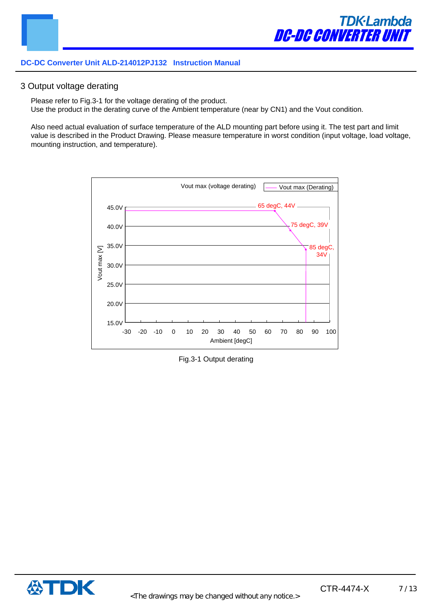#### 3 Output voltage derating

Please refer to Fig.3-1 for the voltage derating of the product. Use the product in the derating curve of the Ambient temperature (near by CN1) and the Vout condition.

Also need actual evaluation of surface temperature of the ALD mounting part before using it. The test part and limit value is described in the Product Drawing. Please measure temperature in worst condition (input voltage, load voltage, mounting instruction, and temperature).



Fig.3-1 Output derating

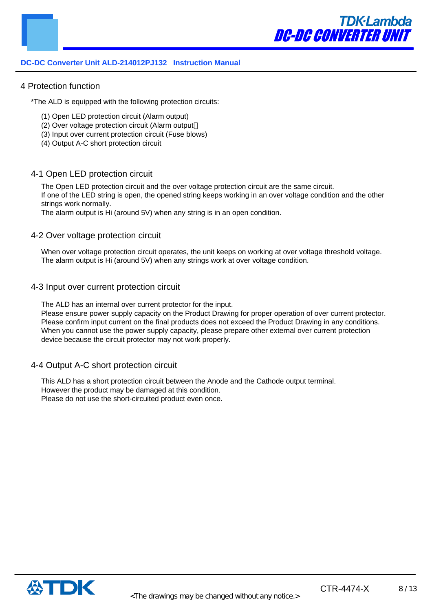#### 4 Protection function

\*The ALD is equipped with the following protection circuits:

- (1) Open LED protection circuit (Alarm output)
- (2) Over voltage protection circuit (Alarm output
- (3) Input over current protection circuit (Fuse blows)
- (4) Output A-C short protection circuit

#### 4-1 Open LED protection circuit

The Open LED protection circuit and the over voltage protection circuit are the same circuit. If one of the LED string is open, the opened string keeps working in an over voltage condition and the other strings work normally.

The alarm output is Hi (around 5V) when any string is in an open condition.

#### 4-2 Over voltage protection circuit

When over voltage protection circuit operates, the unit keeps on working at over voltage threshold voltage. The alarm output is Hi (around 5V) when any strings work at over voltage condition.

#### 4-3 Input over current protection circuit

The ALD has an internal over current protector for the input.

Please ensure power supply capacity on the Product Drawing for proper operation of over current protector. Please confirm input current on the final products does not exceed the Product Drawing in any conditions. When you cannot use the power supply capacity, please prepare other external over current protection device because the circuit protector may not work properly.

#### 4-4 Output A-C short protection circuit

This ALD has a short protection circuit between the Anode and the Cathode output terminal. However the product may be damaged at this condition. Please do not use the short-circuited product even once.

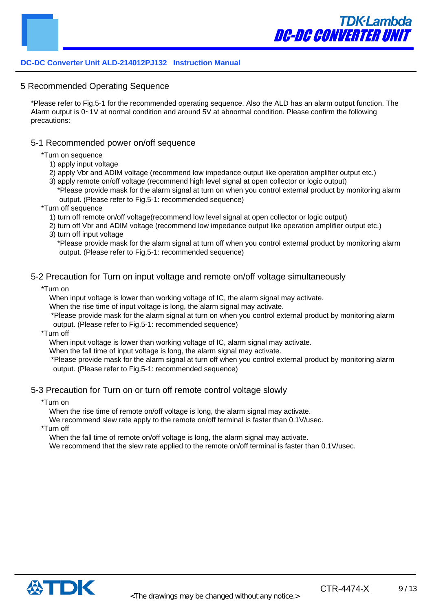5 Recommended Operating Sequence

\*Please refer to Fig.5-1 for the recommended operating sequence. Also the ALD has an alarm output function. The Alarm output is 0~1V at normal condition and around 5V at abnormal condition. Please confirm the following precautions:

#### 5-1 Recommended power on/off sequence

\*Turn on sequence

- 1) apply input voltage
- 2) apply Vbr and ADIM voltage (recommend low impedance output like operation amplifier output etc.)
- 3) apply remote on/off voltage (recommend high level signal at open collector or logic output) \*Please provide mask for the alarm signal at turn on when you control external product by monitoring alarm output. (Please refer to Fig.5-1: recommended sequence)
- \*Turn off sequence
	- 1) turn off remote on/off voltage(recommend low level signal at open collector or logic output)
	- 2) turn off Vbr and ADIM voltage (recommend low impedance output like operation amplifier output etc.) 3) turn off input voltage
		- \*Please provide mask for the alarm signal at turn off when you control external product by monitoring alarm output. (Please refer to Fig.5-1: recommended sequence)

#### 5-2 Precaution for Turn on input voltage and remote on/off voltage simultaneously

\*Turn on

When input voltage is lower than working voltage of IC, the alarm signal may activate.

When the rise time of input voltage is long, the alarm signal may activate.

\*Please provide mask for the alarm signal at turn on when you control external product by monitoring alarm output. (Please refer to Fig.5-1: recommended sequence)

\*Turn off

When input voltage is lower than working voltage of IC, alarm signal may activate.

When the fall time of input voltage is long, the alarm signal may activate.

\*Please provide mask for the alarm signal at turn off when you control external product by monitoring alarm output. (Please refer to Fig.5-1: recommended sequence)

#### 5-3 Precaution for Turn on or turn off remote control voltage slowly

\*Turn on

When the rise time of remote on/off voltage is long, the alarm signal may activate.

We recommend slew rate apply to the remote on/off terminal is faster than 0.1V/usec.

\*Turn off

When the fall time of remote on/off voltage is long, the alarm signal may activate.

We recommend that the slew rate applied to the remote on/off terminal is faster than 0.1V/usec.

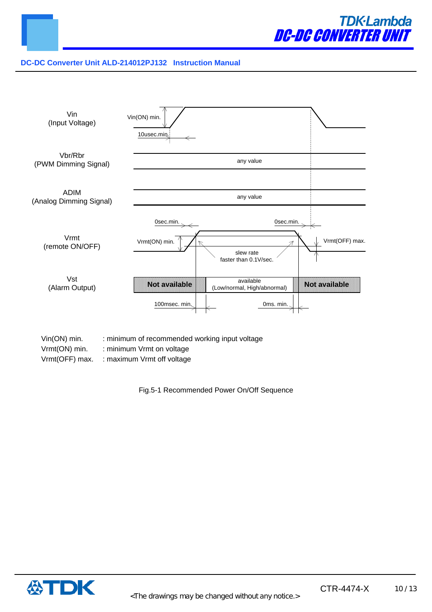



Vrmt(ON) min. : minimum Vrmt on voltage

Vrmt(OFF) max. : maximum Vrmt off voltage

Fig.5-1 Recommended Power On/Off Sequence

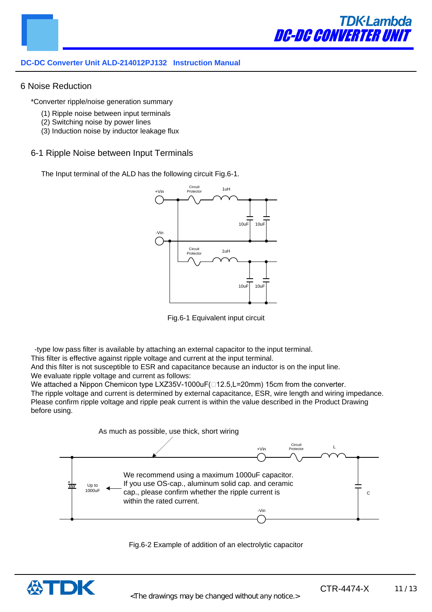

#### 6 Noise Reduction

\*Converter ripple/noise generation summary

- (1) Ripple noise between input terminals
- (2) Switching noise by power lines
- (3) Induction noise by inductor leakage flux

#### 6-1 Ripple Noise between Input Terminals

The Input terminal of the ALD has the following circuit Fig.6-1.



Fig.6-1 Equivalent input circuit

-type low pass filter is available by attaching an external capacitor to the input terminal.

This filter is effective against ripple voltage and current at the input terminal.

And this filter is not susceptible to ESR and capacitance because an inductor is on the input line. We evaluate ripple voltage and current as follows:

We attached a Nippon Chemicon type LXZ35V-1000uF( $\Box$ 12.5,L=20mm) 15cm from the converter. The ripple voltage and current is determined by external capacitance, ESR, wire length and wiring impedance. Please confirm ripple voltage and ripple peak current is within the value described in the Product Drawing before using.





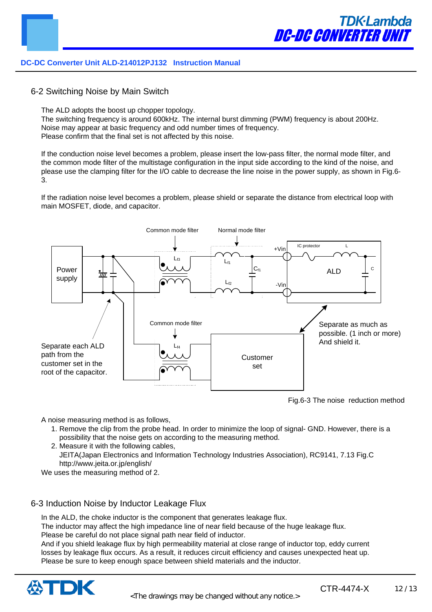

6-2 Switching Noise by Main Switch

The ALD adopts the boost up chopper topology.

The switching frequency is around 600kHz. The internal burst dimming (PWM) frequency is about 200Hz. Noise may appear at basic frequency and odd number times of frequency. Please confirm that the final set is not affected by this noise.

If the conduction noise level becomes a problem, please insert the low-pass filter, the normal mode filter, and the common mode filter of the multistage configuration in the input side according to the kind of the noise, and please use the clamping filter for the I/O cable to decrease the line noise in the power supply, as shown in Fig.6- 3.

If the radiation noise level becomes a problem, please shield or separate the distance from electrical loop with main MOSFET, diode, and capacitor.



Fig.6-3 The noise reduction method

A noise measuring method is as follows,

- 1. Remove the clip from the probe head. In order to minimize the loop of signal- GND. However, there is a possibility that the noise gets on according to the measuring method.
- 2. Measure it with the following cables, JEITA(Japan Electronics and Information Technology Industries Association), RC9141, 7.13 Fig.C http://www.jeita.or.jp/english/

We uses the measuring method of 2.

#### 6-3 Induction Noise by Inductor Leakage Flux

In the ALD, the choke inductor is the component that generates leakage flux.

The inductor may affect the high impedance line of near field because of the huge leakage flux. Please be careful do not place signal path near field of inductor.

And if you shield leakage flux by high permeability material at close range of inductor top, eddy current losses by leakage flux occurs. As a result, it reduces circuit efficiency and causes unexpected heat up. Please be sure to keep enough space between shield materials and the inductor.